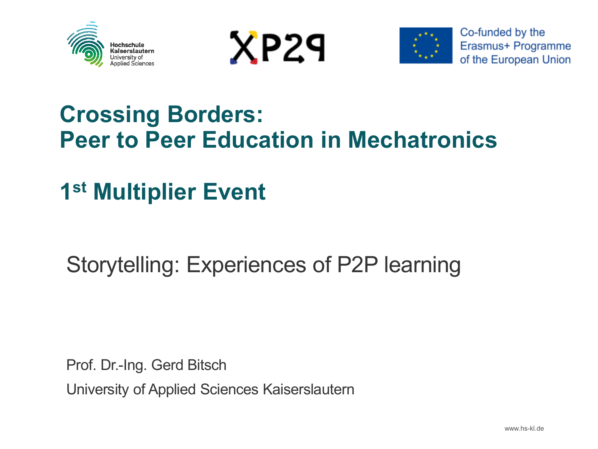





### **Crossing Borders: Peer to Peer Education in Mechatronics**

### **1 st Multiplier Event**

### Storytelling: Experiences of P2P learning

Prof. Dr.-Ing. Gerd Bitsch University of Applied Sciences Kaiserslautern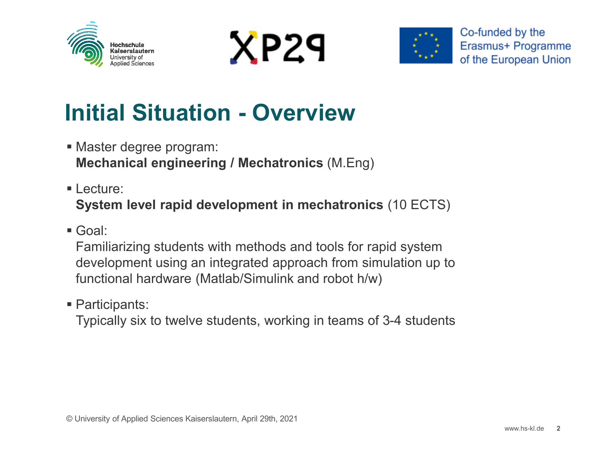





## **Initial Situation - Overview**

- Master degree program: **Mechanical engineering / Mechatronics** (M.Eng)
- Lecture: **System level rapid development in mechatronics** (10 ECTS)
- Goal:

Familiarizing students with methods and tools for rapid system development using an integrated approach from simulation up to functional hardware (Matlab/Simulink and robot h/w)

Participants:

Typically six to twelve students, working in teams of 3-4 students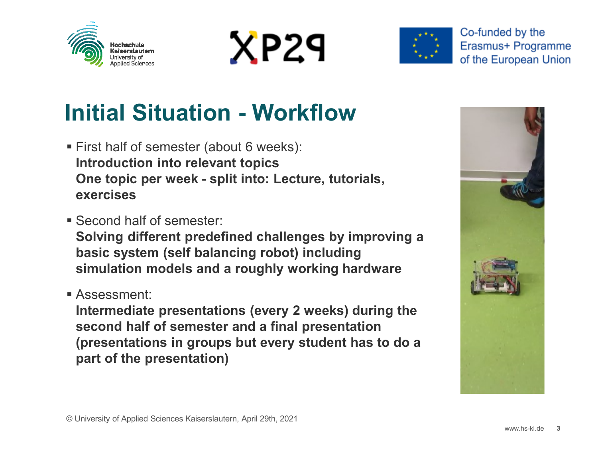





Co-funded by the Erasmus+ Programme of the European Union

# **Initial Situation - Workflow**

- First half of semester (about 6 weeks): **Introduction into relevant topics One topic per week - split into: Lecture, tutorials, exercises**
- Second half of semester:

**Solving different predefined challenges by improving a basic system (self balancing robot) including simulation models and a roughly working hardware**

Assessment:

**Intermediate presentations (every 2 weeks) during the second half of semester and a final presentation (presentations in groups but every student has to do a part of the presentation)**

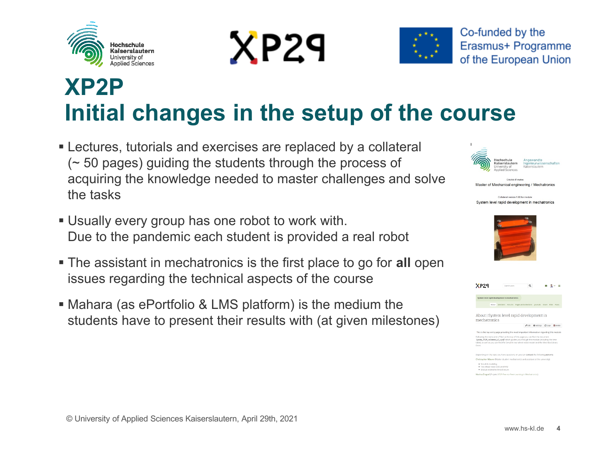





## **XP2P Initial changes in the setup of the course**

- Lectures, tutorials and exercises are replaced by a collateral (~ 50 pages) guiding the students through the process of acquiring the knowledge needed to master challenges and solve the tasks
- Usually every group has one robot to work with. Due to the pandemic each student is provided a real robot
- The assistant in mechatronics is the first place to go for **all** open issues regarding the technical aspects of the course
- Mahara (as ePortfolio & LMS platform) is the medium the students have to present their results with (at given milestones)



|  | Master of Mechanical engineering / Mechatronics |
|--|-------------------------------------------------|
|  |                                                 |

| Collateral version 1.00 for module: |  |  |  |                                                |  |
|-------------------------------------|--|--|--|------------------------------------------------|--|
|                                     |  |  |  | System level rapid development in mechatronics |  |



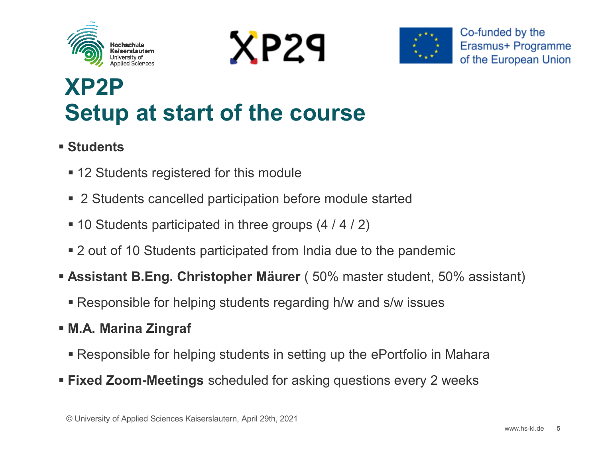





## **XP2P Setup at start of the course**

#### **Students**

- 12 Students registered for this module
- 2 Students cancelled participation before module started
- 10 Students participated in three groups (4 / 4 / 2)
- 2 out of 10 Students participated from India due to the pandemic
- **Assistant B.Eng. Christopher Mäurer** ( 50% master student, 50% assistant)
	- Responsible for helping students regarding h/w and s/w issues
- **M.A. Marina Zingraf**
	- Responsible for helping students in setting up the ePortfolio in Mahara
- **Fixed Zoom-Meetings** scheduled for asking questions every 2 weeks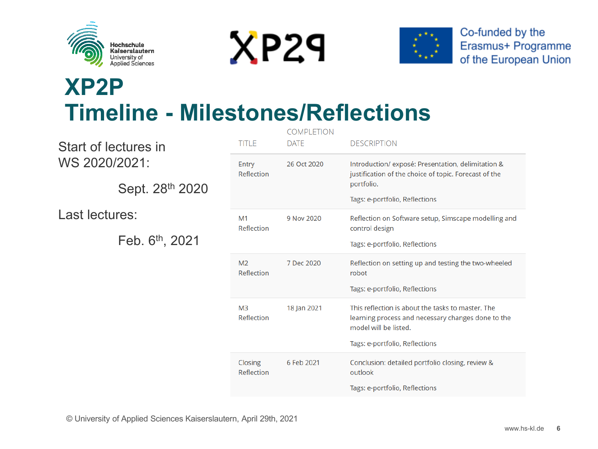

Start of lectures in

Sept. 28th 2020

Feb. 6th, 2021

WS 2020/2021:

Last lectures:





### **XP2P Timeline - Milestones/Reflections**

| TITI F                       | <b>COMPLETION</b><br><b>DATE</b> | <b>DESCRIPTION</b>                                                                                                                                                 |
|------------------------------|----------------------------------|--------------------------------------------------------------------------------------------------------------------------------------------------------------------|
| Entry<br>Reflection          | 26 Oct 2020                      | Introduction/exposé: Presentation, delimitation &<br>justification of the choice of topic. Forecast of the<br>portfolio.<br>Tags: e-portfolio, Reflections         |
| M <sub>1</sub><br>Reflection | 9 Nov 2020                       | Reflection on Software setup, Simscape modelling and<br>control design<br>Tags: e-portfolio, Reflections                                                           |
| M <sub>2</sub><br>Reflection | 7 Dec 2020                       | Reflection on setting up and testing the two-wheeled<br>robot<br>Tags: e-portfolio, Reflections                                                                    |
| M <sub>3</sub><br>Reflection | 18 Jan 2021                      | This reflection is about the tasks to master. The<br>learning process and necessary changes done to the<br>model will be listed.<br>Tags: e-portfolio, Reflections |
| Closing<br>Reflection        | 6 Feb 2021                       | Conclusion: detailed portfolio closing, review &<br>outlook<br>Tags: e-portfolio, Reflections                                                                      |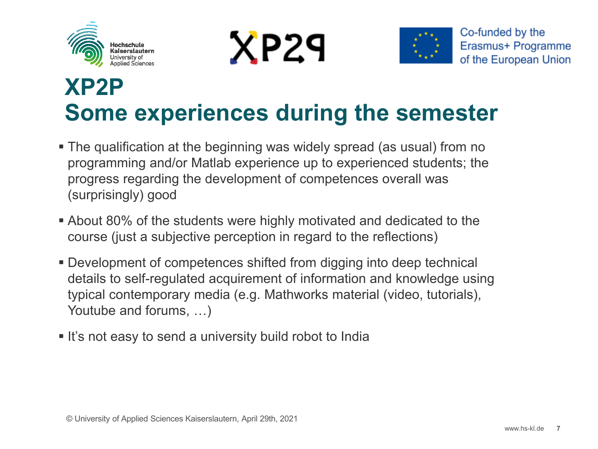





### **XP2P Some experiences during the semester**

- The qualification at the beginning was widely spread (as usual) from no programming and/or Matlab experience up to experienced students; the progress regarding the development of competences overall was (surprisingly) good
- About 80% of the students were highly motivated and dedicated to the course (just a subjective perception in regard to the reflections)
- Development of competences shifted from digging into deep technical details to self-regulated acquirement of information and knowledge using typical contemporary media (e.g. Mathworks material (video, tutorials), Youtube and forums, …)
- **It's not easy to send a university build robot to India**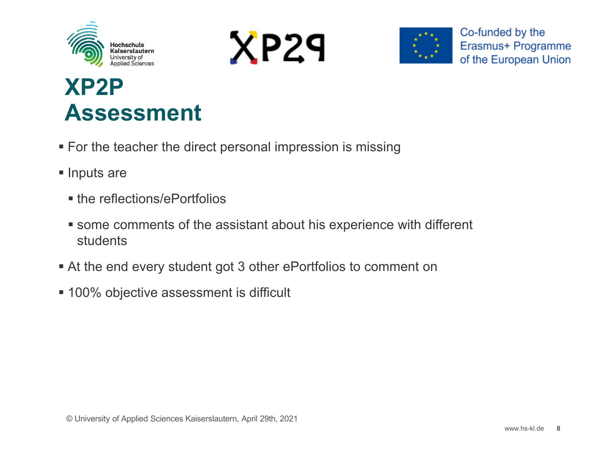





## **XP2P Assessment**

- **For the teacher the direct personal impression is missing**
- **Inputs are** 
	- the reflections/ePortfolios
	- some comments of the assistant about his experience with different students
- At the end every student got 3 other ePortfolios to comment on
- **100% objective assessment is difficult**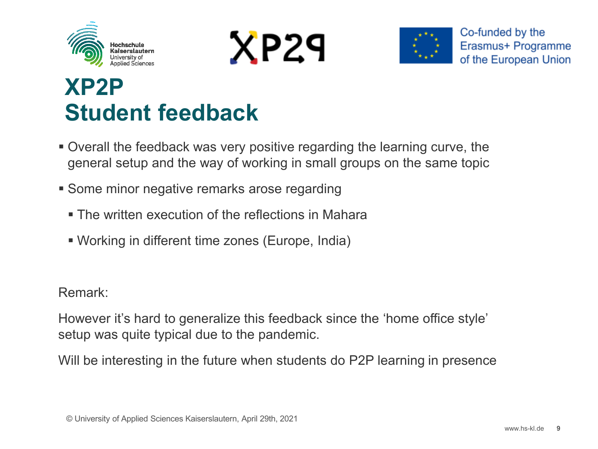





### **XP2P Student feedback**

- Overall the feedback was very positive regarding the learning curve, the general setup and the way of working in small groups on the same topic
- **Some minor negative remarks arose regarding** 
	- **The written execution of the reflections in Mahara**
	- Working in different time zones (Europe, India)

Remark:

However it's hard to generalize this feedback since the 'home office style' setup was quite typical due to the pandemic.

Will be interesting in the future when students do P2P learning in presence